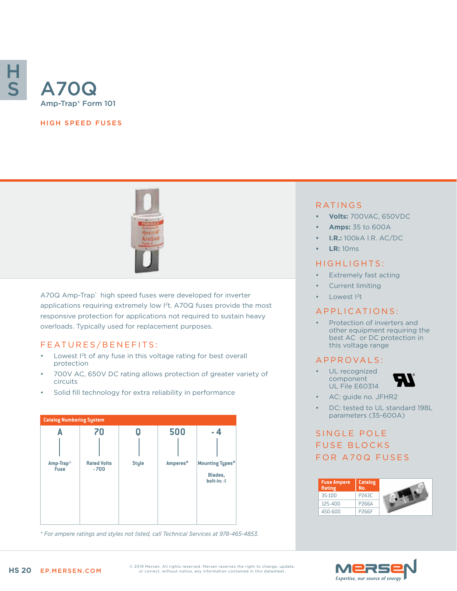

#### HIGH SPEED FUSES



A70Q Amp-Trap® high speed fuses were developed for inverter applications requiring extremely low I<sup>2</sup>t. A70Q fuses provide the most responsive protection for applications not required to sustain heavy overloads. Typically used for replacement purposes.

### FEATURES/BENEFITS:

- Lowest I2t of any fuse in this voltage rating for best overall protection
- 700V AC, 650V DC rating allows protection of greater variety of circuits
- Solid fill technology for extra reliability in performance



*\* For ampere ratings and styles not listed, call Technical Services at 978-465-4853.*

### RATINGS

- **• Volts:** 700VAC, 650VDC
- **• Amps:** 35 to 600A
- **• I.R.:** 100kA I.R. AC/DC
- **• LR:** 10ms

#### HIGHLIGHTS:

- Extremely fast acting
- Current limiting
- Lowest <sup>2</sup>t

#### APPLICATIONS:

Protection of inverters and other equipment requiring the best AC or DC protection in this voltage range

#### A P P R OVA L S :

UL recognized component UL File E60314



- AC: guide no. JFHR2
- DC: tested to UL standard 198L parameters (35-600A)

# SINGLE POLE FUSE BLOCKS FOR A70Q FUSES

| <b>Fuse Ampere</b><br>Rating | Catalog<br>No.    |  |
|------------------------------|-------------------|--|
| 35-100                       | P243C             |  |
| 125-400                      | P266A             |  |
| 450-600                      | P <sub>266F</sub> |  |